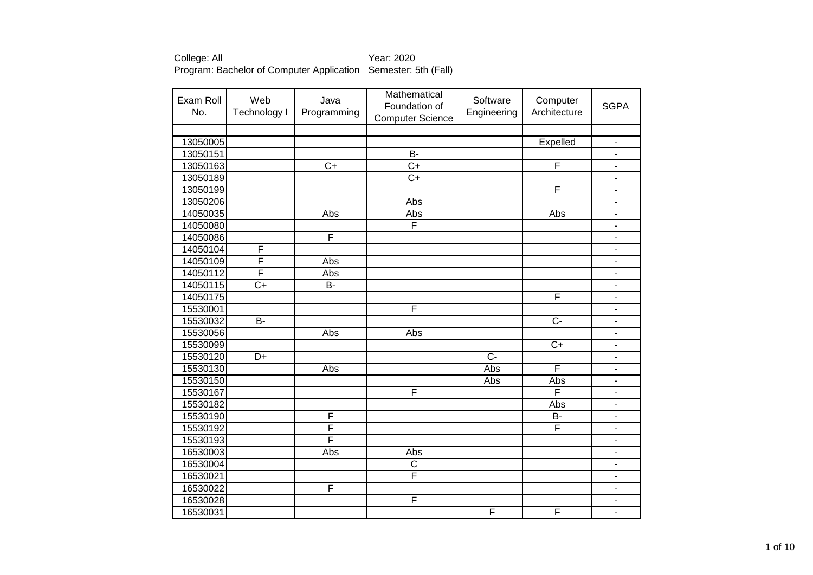| Exam Roll<br>No. | Web<br>Technology I | Java<br>Programming | Mathematical<br>Foundation of<br><b>Computer Science</b> | Software<br>Engineering | Computer<br>Architecture | <b>SGPA</b>              |
|------------------|---------------------|---------------------|----------------------------------------------------------|-------------------------|--------------------------|--------------------------|
|                  |                     |                     |                                                          |                         |                          |                          |
| 13050005         |                     |                     |                                                          |                         | Expelled                 | $\blacksquare$           |
| 13050151         |                     |                     | $B -$                                                    |                         |                          | -                        |
| 13050163         |                     | $\overline{C+}$     | $\overline{C}$                                           |                         | F                        | $\overline{\phantom{0}}$ |
| 13050189         |                     |                     | $\overline{C}$                                           |                         |                          | $\overline{\phantom{0}}$ |
| 13050199         |                     |                     |                                                          |                         | F                        | ÷,                       |
| 13050206         |                     |                     | Abs                                                      |                         |                          | $\overline{\phantom{0}}$ |
| 14050035         |                     | Abs                 | Abs                                                      |                         | Abs                      | $\overline{\phantom{0}}$ |
| 14050080         |                     |                     | F                                                        |                         |                          | $\overline{\phantom{0}}$ |
| 14050086         |                     | F                   |                                                          |                         |                          |                          |
| 14050104         | F                   |                     |                                                          |                         |                          | $\blacksquare$           |
| 14050109         | F                   | Abs                 |                                                          |                         |                          | $\blacksquare$           |
| 14050112         | F                   | Abs                 |                                                          |                         |                          | $\overline{\phantom{0}}$ |
| 14050115         | $\overline{C}$      | $\overline{B}$      |                                                          |                         |                          | ۰                        |
| 14050175         |                     |                     |                                                          |                         | F                        | $\overline{\phantom{0}}$ |
| 15530001         |                     |                     | F                                                        |                         |                          | $\overline{\phantom{0}}$ |
| 15530032         | $\overline{B}$      |                     |                                                          |                         | $\overline{C}$           | ٠                        |
| 15530056         |                     | Abs                 | Abs                                                      |                         |                          | $\overline{a}$           |
| 15530099         |                     |                     |                                                          |                         | $C+$                     | ÷,                       |
| 15530120         | D+                  |                     |                                                          | $\overline{C}$          |                          | ۰                        |
| 15530130         |                     | Abs                 |                                                          | Abs                     | F                        | $\overline{\phantom{0}}$ |
| 15530150         |                     |                     |                                                          | Abs                     | Abs                      | $\overline{\phantom{0}}$ |
| 15530167         |                     |                     | F                                                        |                         | F                        | $\overline{\phantom{0}}$ |
| 15530182         |                     |                     |                                                          |                         | Abs                      | ä,                       |
| 15530190         |                     | F                   |                                                          |                         | <b>B-</b>                | ä,                       |
| 15530192         |                     | F                   |                                                          |                         | F                        | ۰                        |
| 15530193         |                     | F                   |                                                          |                         |                          | -                        |
| 16530003         |                     | Abs                 | Abs                                                      |                         |                          | ÷,                       |
| 16530004         |                     |                     | $\overline{C}$                                           |                         |                          | -                        |
| 16530021         |                     |                     | F                                                        |                         |                          | ٠                        |
| 16530022         |                     | F                   |                                                          |                         |                          | L.                       |
| 16530028         |                     |                     | F                                                        |                         |                          | $\overline{\phantom{0}}$ |
| 16530031         |                     |                     |                                                          | F                       | F                        | $\overline{\phantom{0}}$ |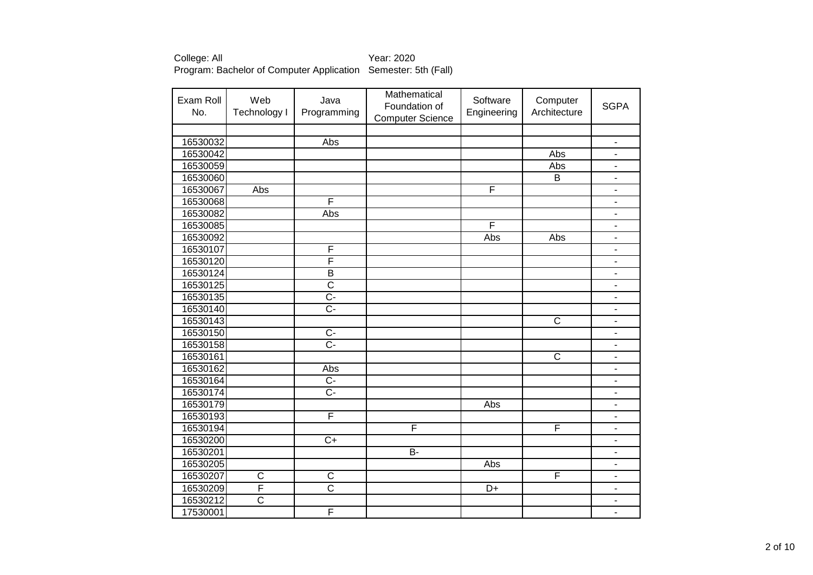| Exam Roll<br>No. | Web<br>Technology I   | Java<br>Programming     | Mathematical<br>Foundation of<br><b>Computer Science</b> | Software<br>Engineering | Computer<br>Architecture | <b>SGPA</b>              |
|------------------|-----------------------|-------------------------|----------------------------------------------------------|-------------------------|--------------------------|--------------------------|
|                  |                       |                         |                                                          |                         |                          |                          |
| 16530032         |                       | Abs                     |                                                          |                         |                          | $\overline{\phantom{m}}$ |
| 16530042         |                       |                         |                                                          |                         | Abs                      | $\blacksquare$           |
| 16530059         |                       |                         |                                                          |                         | Abs                      | -                        |
| 16530060         |                       |                         |                                                          |                         | $\overline{\mathsf{B}}$  | $\overline{\phantom{a}}$ |
| 16530067         | Abs                   |                         |                                                          | F                       |                          | $\overline{\phantom{m}}$ |
| 16530068         |                       | F                       |                                                          |                         |                          | $\overline{\phantom{a}}$ |
| 16530082         |                       | Abs                     |                                                          |                         |                          | $\overline{\phantom{0}}$ |
| 16530085         |                       |                         |                                                          | F                       |                          | $\overline{a}$           |
| 16530092         |                       |                         |                                                          | Abs                     | Abs                      | -                        |
| 16530107         |                       | F                       |                                                          |                         |                          | $\blacksquare$           |
| 16530120         |                       | F                       |                                                          |                         |                          | $\blacksquare$           |
| 16530124         |                       | $\overline{\mathsf{B}}$ |                                                          |                         |                          | $\blacksquare$           |
| 16530125         |                       | $\overline{\text{c}}$   |                                                          |                         |                          | $\blacksquare$           |
| 16530135         |                       | $\overline{C}$ -        |                                                          |                         |                          | $\blacksquare$           |
| 16530140         |                       | $\overline{C}$ -        |                                                          |                         |                          | ۰                        |
| 16530143         |                       |                         |                                                          |                         | $\overline{\text{c}}$    | $\blacksquare$           |
| 16530150         |                       | $\overline{C}$          |                                                          |                         |                          | $\blacksquare$           |
| 16530158         |                       | $\overline{C}$          |                                                          |                         |                          | $\overline{\phantom{a}}$ |
| 16530161         |                       |                         |                                                          |                         | C                        | $\overline{\phantom{0}}$ |
| 16530162         |                       | Abs                     |                                                          |                         |                          | $\overline{\phantom{0}}$ |
| 16530164         |                       | $\overline{C}$          |                                                          |                         |                          |                          |
| 16530174         |                       | $\overline{C}$          |                                                          |                         |                          |                          |
| 16530179         |                       |                         |                                                          | Abs                     |                          | ÷,                       |
| 16530193         |                       | F                       |                                                          |                         |                          | $\blacksquare$           |
| 16530194         |                       |                         | F                                                        |                         | F                        | ٠                        |
| 16530200         |                       | $\overline{C+}$         |                                                          |                         |                          | $\overline{\phantom{0}}$ |
| 16530201         |                       |                         | <b>B-</b>                                                |                         |                          | ۰                        |
| 16530205         |                       |                         |                                                          | Abs                     |                          | $\overline{\phantom{a}}$ |
| 16530207         | C                     | $\overline{C}$          |                                                          |                         | F                        | $\blacksquare$           |
| 16530209         | F                     | $\overline{\text{c}}$   |                                                          | D+                      |                          | $\blacksquare$           |
| 16530212         | $\overline{\text{c}}$ |                         |                                                          |                         |                          |                          |
| 17530001         |                       | F                       |                                                          |                         |                          | $\overline{a}$           |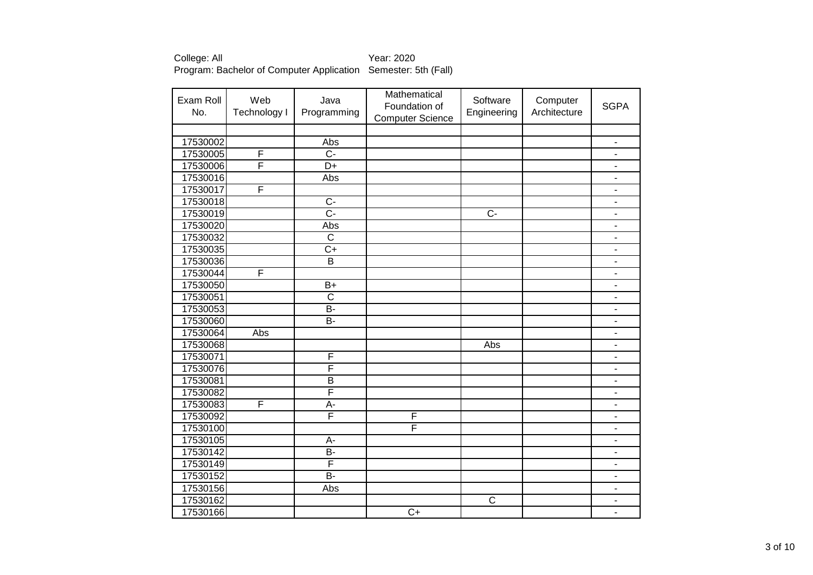| Exam Roll<br>No. | Web<br>Technology I | Java<br>Programming     | Mathematical<br>Foundation of<br><b>Computer Science</b> | Software<br>Engineering | Computer<br>Architecture | <b>SGPA</b>              |
|------------------|---------------------|-------------------------|----------------------------------------------------------|-------------------------|--------------------------|--------------------------|
|                  |                     |                         |                                                          |                         |                          |                          |
| 17530002         |                     | Abs                     |                                                          |                         |                          | $\overline{\phantom{a}}$ |
| 17530005         | F                   | $\overline{C}$          |                                                          |                         |                          | -                        |
| 17530006         | F                   | $\overline{D+}$         |                                                          |                         |                          | $\overline{\phantom{0}}$ |
| 17530016         |                     | Abs                     |                                                          |                         |                          | -                        |
| 17530017         | F                   |                         |                                                          |                         |                          | $\overline{\phantom{0}}$ |
| 17530018         |                     | $\overline{C}$          |                                                          |                         |                          | ۰                        |
| 17530019         |                     | $\overline{C}$ -        |                                                          | $\overline{C}$          |                          | $\overline{\phantom{0}}$ |
| 17530020         |                     | Abs                     |                                                          |                         |                          | $\overline{\phantom{0}}$ |
| 17530032         |                     | $\overline{\mathsf{C}}$ |                                                          |                         |                          | -                        |
| 17530035         |                     | $\overline{C+}$         |                                                          |                         |                          | $\blacksquare$           |
| 17530036         |                     | $\overline{\mathsf{B}}$ |                                                          |                         |                          | ۰                        |
| 17530044         | F                   |                         |                                                          |                         |                          | ۰                        |
| 17530050         |                     | $B+$                    |                                                          |                         |                          | $\overline{\phantom{a}}$ |
| 17530051         |                     | $\overline{\text{c}}$   |                                                          |                         |                          | ٠                        |
| 17530053         |                     | $\overline{B}$          |                                                          |                         |                          | $\overline{\phantom{0}}$ |
| 17530060         |                     | $\overline{B}$          |                                                          |                         |                          | ÷,                       |
| 17530064         | Abs                 |                         |                                                          |                         |                          | ۰                        |
| 17530068         |                     |                         |                                                          | Abs                     |                          |                          |
| 17530071         |                     | F                       |                                                          |                         |                          | $\overline{\phantom{0}}$ |
| 17530076         |                     | $\overline{\mathsf{F}}$ |                                                          |                         |                          |                          |
| 17530081         |                     | $\overline{B}$          |                                                          |                         |                          | ۰                        |
| 17530082         |                     | F                       |                                                          |                         |                          |                          |
| 17530083         | F                   | $\overline{A}$ -        |                                                          |                         |                          | L                        |
| 17530092         |                     | F                       | F                                                        |                         |                          | ۰                        |
| 17530100         |                     |                         | $\overline{\mathsf{F}}$                                  |                         |                          | ÷,                       |
| 17530105         |                     | $A -$                   |                                                          |                         |                          | $\overline{\phantom{0}}$ |
| 17530142         |                     | $\overline{B}$          |                                                          |                         |                          | ۰                        |
| 17530149         |                     | $\overline{\mathsf{F}}$ |                                                          |                         |                          | $\overline{\phantom{0}}$ |
| 17530152         |                     | $\overline{B}$          |                                                          |                         |                          | $\overline{\phantom{0}}$ |
| 17530156         |                     | Abs                     |                                                          |                         |                          | ٠                        |
| 17530162         |                     |                         |                                                          | $\overline{\text{c}}$   |                          | $\overline{\phantom{0}}$ |
| 17530166         |                     |                         | $\overline{C}$                                           |                         |                          | Ξ.                       |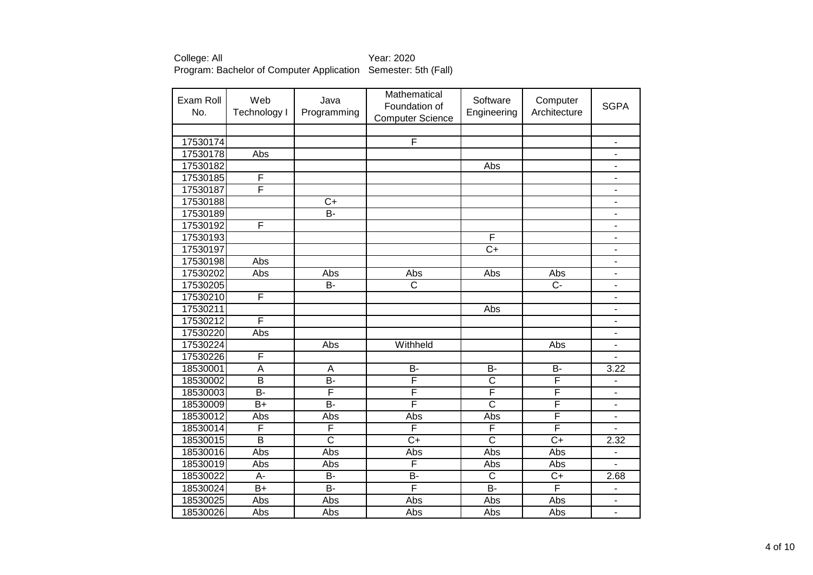| Exam Roll<br>No. | Web<br><b>Technology I</b> | Java<br>Programming   | Mathematical<br>Foundation of<br><b>Computer Science</b> | Software<br>Engineering | Computer<br>Architecture | <b>SGPA</b>              |
|------------------|----------------------------|-----------------------|----------------------------------------------------------|-------------------------|--------------------------|--------------------------|
|                  |                            |                       |                                                          |                         |                          |                          |
| 17530174         |                            |                       | F                                                        |                         |                          | $\blacksquare$           |
| 17530178         | Abs                        |                       |                                                          |                         |                          | $\frac{1}{2}$            |
| 17530182         |                            |                       |                                                          | Abs                     |                          | $\overline{\phantom{0}}$ |
| 17530185         | F                          |                       |                                                          |                         |                          | $\overline{\phantom{0}}$ |
| 17530187         | F                          |                       |                                                          |                         |                          | $\overline{\phantom{0}}$ |
| 17530188         |                            | $\overline{C+}$       |                                                          |                         |                          | ۰                        |
| 17530189         |                            | $B -$                 |                                                          |                         |                          | $\overline{\phantom{0}}$ |
| 17530192         | F                          |                       |                                                          |                         |                          | $\overline{\phantom{0}}$ |
| 17530193         |                            |                       |                                                          | F                       |                          | ۰                        |
| 17530197         |                            |                       |                                                          | $\overline{C+}$         |                          | ۰                        |
| 17530198         | Abs                        |                       |                                                          |                         |                          |                          |
| 17530202         | Abs                        | Abs                   | Abs                                                      | Abs                     | Abs                      | $\overline{\phantom{0}}$ |
| 17530205         |                            | $\overline{B}$        | $\overline{\text{c}}$                                    |                         | $\overline{C}$           | $\overline{\phantom{a}}$ |
| 17530210         | F                          |                       |                                                          |                         |                          | $\overline{\phantom{m}}$ |
| 17530211         |                            |                       |                                                          | Abs                     |                          | $\overline{\phantom{a}}$ |
| 17530212         | F                          |                       |                                                          |                         |                          | $\overline{\phantom{0}}$ |
| 17530220         | Abs                        |                       |                                                          |                         |                          | $\overline{\phantom{0}}$ |
| 17530224         |                            | Abs                   | Withheld                                                 |                         | Abs                      | ٠                        |
| 17530226         | F                          |                       |                                                          |                         |                          |                          |
| 18530001         | $\overline{A}$             | A                     | <b>B-</b>                                                | $\overline{B}$          | $\overline{B}$           | 3.22                     |
| 18530002         | $\overline{\mathsf{B}}$    | $\overline{B}$        | F                                                        | $\overline{\text{c}}$   | F                        |                          |
| 18530003         | B-                         | F                     | F                                                        | F                       | F                        |                          |
| 18530009         | $\overline{B+}$            | $\overline{B}$        | F                                                        | $\overline{\text{c}}$   | F                        |                          |
| 18530012         | Abs                        | Abs                   | Abs                                                      | Abs                     | F                        | $\overline{\phantom{0}}$ |
| 18530014         | F                          | F                     | F                                                        | F                       | F                        |                          |
| 18530015         | $\overline{B}$             | $\overline{\text{c}}$ | $\overline{C}$                                           | $\overline{\text{c}}$   | $\overline{C+}$          | 2.32                     |
| 18530016         | Abs                        | Abs                   | Abs                                                      | Abs                     | Abs                      | $\overline{\phantom{a}}$ |
| 18530019         | Abs                        | Abs                   | $\overline{F}$                                           | Abs                     | Abs                      | $\overline{\phantom{0}}$ |
| 18530022         | A-                         | $\overline{B}$        | <b>B-</b>                                                | $\overline{\text{c}}$   | $\overline{C+}$          | 2.68                     |
| 18530024         | $\overline{B+}$            | $\overline{B}$        | $\overline{\mathsf{F}}$                                  | $\overline{B}$          | F                        | ä,                       |
| 18530025         | Abs                        | Abs                   | Abs                                                      | Abs                     | Abs                      |                          |
| 18530026         | Abs                        | Abs                   | Abs                                                      | Abs                     | Abs                      |                          |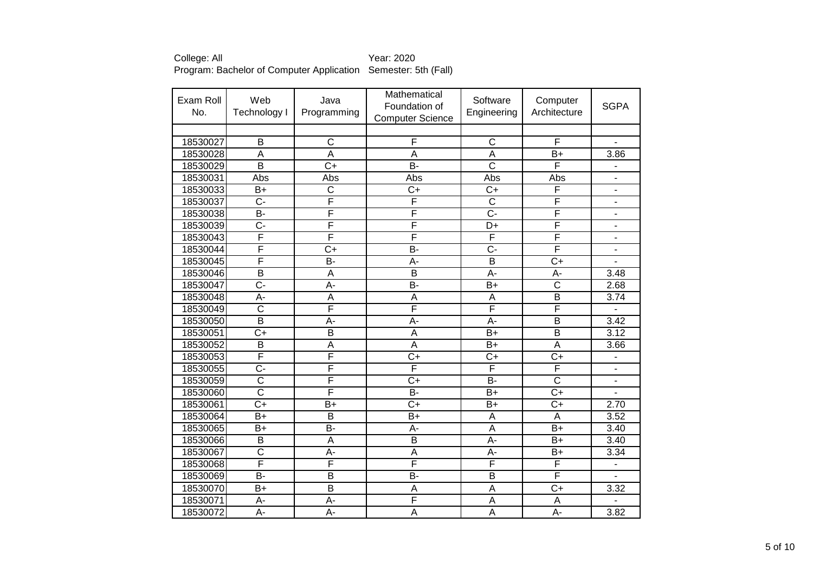| Exam Roll<br>No. | Web<br><b>Technology I</b> | Java<br>Programming     | Mathematical<br>Foundation of<br><b>Computer Science</b> | Software<br>Engineering | Computer<br>Architecture | <b>SGPA</b>              |
|------------------|----------------------------|-------------------------|----------------------------------------------------------|-------------------------|--------------------------|--------------------------|
|                  |                            |                         |                                                          |                         |                          |                          |
| 18530027         | B                          | $\overline{\text{c}}$   | $\overline{F}$                                           | $\overline{C}$          | F                        | $\blacksquare$           |
| 18530028         | A                          | A                       | A                                                        | A                       | $B+$                     | 3.86                     |
| 18530029         | $\overline{\mathsf{B}}$    | $\overline{C}$          | B-                                                       | $\overline{\text{c}}$   | F                        |                          |
| 18530031         | Abs                        | Abs                     | Abs                                                      | Abs                     | Abs                      | $\overline{\phantom{a}}$ |
| 18530033         | $\overline{B}$             | $\overline{\text{c}}$   | $\overline{C+}$                                          | $\overline{C}$          | F                        | $\overline{\phantom{a}}$ |
| 18530037         | $\overline{C}$             | F                       | F                                                        | $\overline{\text{c}}$   | F                        | $\blacksquare$           |
| 18530038         | $\overline{B}$             | F                       | F                                                        | $\overline{C}$ -        | F                        | $\blacksquare$           |
| 18530039         | $\overline{C}$ -           | F                       | F                                                        | $\overline{D+}$         | F                        |                          |
| 18530043         | F                          | F                       | F                                                        | F                       | F                        |                          |
| 18530044         | F                          | $\overline{C}$          | B-                                                       | $\overline{C}$ -        | F                        | ÷                        |
| 18530045         | F                          | $\overline{B}$          | $\overline{A}$                                           | $\overline{\mathsf{B}}$ | $\overline{C+}$          |                          |
| 18530046         | $\overline{\mathsf{B}}$    | A                       | $\overline{B}$                                           | $\overline{A}$ -        | A-                       | 3.48                     |
| 18530047         | $\overline{C}$ -           | Ā-                      | B-                                                       | $\overline{B}$          | $\overline{\text{c}}$    | 2.68                     |
| 18530048         | $A -$                      | A                       | A                                                        | A                       | $\overline{\mathsf{B}}$  | 3.74                     |
| 18530049         | $\overline{\text{c}}$      | F                       | F                                                        | F                       | F                        | $\overline{a}$           |
| 18530050         | $\overline{\mathsf{B}}$    | А-                      | А-                                                       | A-                      | $\overline{\mathsf{B}}$  | 3.42                     |
| 18530051         | $\overline{C+}$            | $\overline{\mathsf{B}}$ | $\overline{\mathsf{A}}$                                  | $B+$                    | B                        | 3.12                     |
| 18530052         | B                          | A                       | A                                                        | $B+$                    | A                        | 3.66                     |
| 18530053         | F                          | F                       | $C+$                                                     | $C+$                    | $\overline{C+}$          |                          |
| 18530055         | $\overline{C}$             | F                       | F                                                        | F                       | F                        |                          |
| 18530059         | $\overline{\text{c}}$      | F                       | $C+$                                                     | <b>B-</b>               | $\overline{\text{c}}$    |                          |
| 18530060         | $\overline{\text{c}}$      | F                       | $\overline{B}$                                           | $\overline{B+}$         | $\overline{C+}$          |                          |
| 18530061         | $\overline{C+}$            | $B+$                    | $\overline{C+}$                                          | $B+$                    | $\overline{C+}$          | 2.70                     |
| 18530064         | $B+$                       | B                       | $B+$                                                     | A                       | A                        | 3.52                     |
| 18530065         | $B+$                       | $\overline{B}$          | A-                                                       | A                       | $B+$                     | 3.40                     |
| 18530066         | B                          | A                       | B                                                        | A-                      | $B+$                     | 3.40                     |
| 18530067         | C                          | A-                      | A                                                        | A-                      | B+                       | 3.34                     |
| 18530068         | F                          | F                       | F                                                        | $\overline{\mathsf{F}}$ | F                        | $\overline{a}$           |
| 18530069         | B-                         | B                       | B-                                                       | B                       | F                        | $\overline{a}$           |
| 18530070         | $B+$                       | $\overline{\mathsf{B}}$ | A                                                        | A                       | $\overline{C+}$          | 3.32                     |
| 18530071         | $A -$                      | A-                      | F                                                        | $\overline{A}$          | $\overline{A}$           |                          |
| 18530072         | A-                         | A-                      | A                                                        | $\overline{A}$          | A-                       | 3.82                     |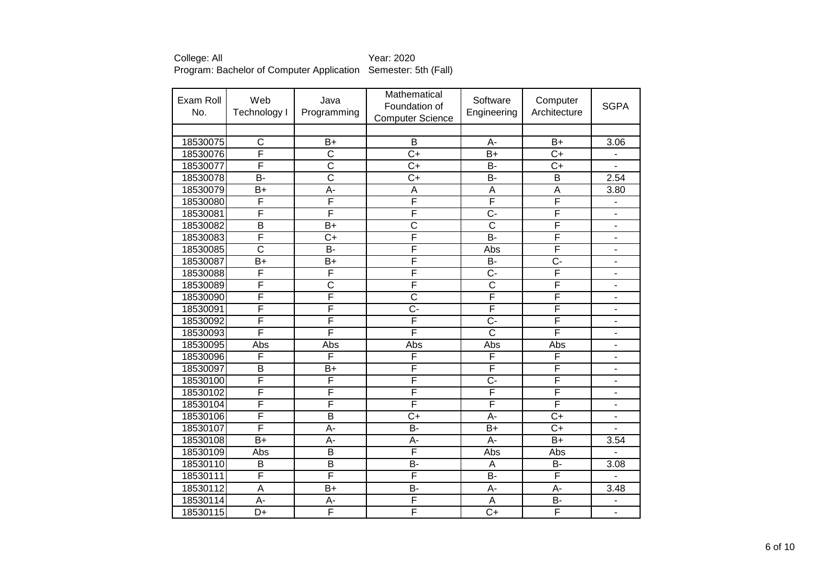| Exam Roll<br>No. | Web<br>Technology I     | Java<br>Programming     | Mathematical<br>Foundation of<br><b>Computer Science</b> | Software<br>Engineering   | Computer<br>Architecture | <b>SGPA</b>                  |
|------------------|-------------------------|-------------------------|----------------------------------------------------------|---------------------------|--------------------------|------------------------------|
|                  |                         |                         |                                                          |                           |                          |                              |
| 18530075         | $\overline{\text{c}}$   | $B+$                    | B                                                        | A-                        | $B+$                     | 3.06                         |
| 18530076         | F                       | C                       | $C+$                                                     | $B+$                      | $C+$                     | $\overline{\phantom{0}}$     |
| 18530077         | F                       | $\overline{\text{c}}$   | $\overline{C+}$                                          | <b>B-</b>                 | $\overline{C+}$          |                              |
| 18530078         | $\overline{B}$          | $\overline{\text{c}}$   | $\overline{C+}$                                          | B-                        | $\overline{\mathsf{B}}$  | 2.54                         |
| 18530079         | $B+$                    | A-                      | A                                                        | A                         | A                        | 3.80                         |
| 18530080         | F                       | F                       | F                                                        | F                         | F                        | $\overline{a}$               |
| 18530081         | F                       | F                       | F                                                        | $\overline{C}$ -          | F                        | $\overline{a}$               |
| 18530082         | $\overline{B}$          | $B+$                    | $\overline{\text{c}}$                                    | $\overline{\text{c}}$     | F                        |                              |
| 18530083         | F                       | $\overline{C}$          | F                                                        | B-                        | F                        |                              |
| 18530085         | $\overline{\text{c}}$   | $\overline{B}$ -        | F                                                        | Abs                       | F                        | ä,                           |
| 18530087         | $B+$                    | $B+$                    | F                                                        | B-                        | $\overline{C}$ -         | $\overline{\phantom{a}}$     |
| 18530088         | F                       | F                       | F                                                        | $\overline{C}$            | F                        | ÷,                           |
| 18530089         | F                       | $\overline{\text{c}}$   | F                                                        | $\overline{\text{c}}$     | F                        | $\qquad \qquad \blacksquare$ |
| 18530090         | F                       | F                       | $\overline{\text{c}}$                                    | F                         | F                        | $\qquad \qquad \blacksquare$ |
| 18530091         | F                       | F                       | <del>.</del>                                             | F                         | F                        | $\overline{\phantom{a}}$     |
| 18530092         | F                       | F                       | F                                                        | $\overline{C}$ -          | F                        | $\overline{\phantom{a}}$     |
| 18530093         | F                       | F                       | F                                                        | $\overline{\text{c}}$     | F                        | $\overline{a}$               |
| 18530095         | Abs                     | Abs                     | Abs                                                      | Abs                       | Abs                      |                              |
| 18530096         | F                       | F                       | F                                                        | F                         | F                        | $\overline{\phantom{a}}$     |
| 18530097         | $\overline{B}$          | $B+$                    | F                                                        | F                         | F                        |                              |
| 18530100         | F                       | F                       | F                                                        | $\overline{C}$            | F                        |                              |
| 18530102         | $\overline{\mathsf{F}}$ | F                       | F                                                        | F                         | F                        | $\blacksquare$               |
| 18530104         | F                       | F                       | F                                                        | F                         | F                        | $\blacksquare$               |
| 18530106         | $\overline{\mathsf{F}}$ | $\overline{\mathsf{B}}$ | $\overline{C+}$                                          | A-                        | $\overline{C+}$          |                              |
| 18530107         | F                       | A-                      | $\overline{B}$                                           | $B+$                      | $\overline{C+}$          |                              |
| 18530108         | $B+$                    | A-                      | A-                                                       | A-                        | $B+$                     | 3.54                         |
| 18530109         | Abs                     | $\overline{\mathsf{B}}$ | F                                                        | Abs                       | Abs                      |                              |
| 18530110         | B                       | $\overline{\mathsf{B}}$ | <b>B-</b>                                                | A                         | $\overline{B}$           | 3.08                         |
| 18530111         | F                       | F                       | F                                                        | <b>B-</b>                 | F                        |                              |
| 18530112         | A                       | $B+$                    | B-                                                       | А-                        | A-                       | 3.48                         |
| 18530114         | $\overline{A}$          | A-                      | F                                                        | $\boldsymbol{\mathsf{A}}$ | $\overline{B}$           |                              |
| 18530115         | $D+$                    | F                       | F                                                        | $C+$                      | F                        |                              |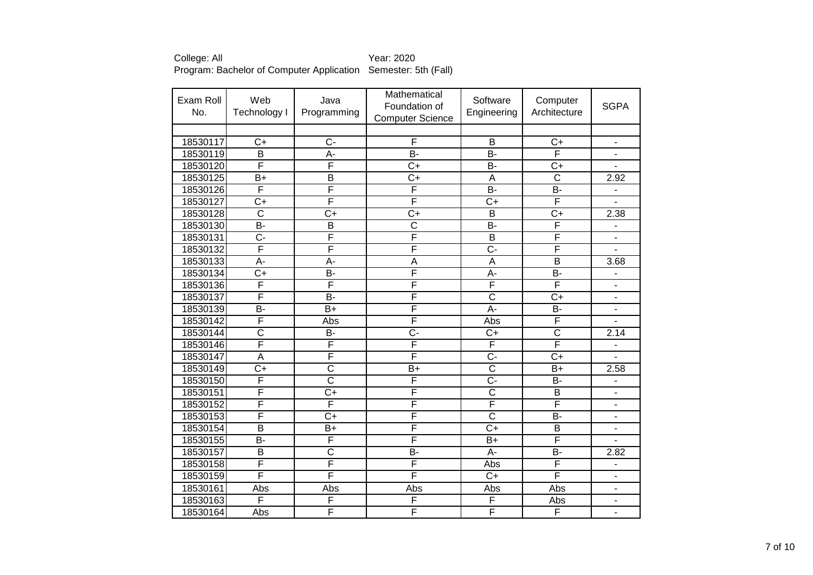| Exam Roll<br>No. | Web<br>Technology I     | Java<br>Programming     | Mathematical<br>Foundation of<br><b>Computer Science</b> | Software<br>Engineering | Computer<br>Architecture | <b>SGPA</b>                  |
|------------------|-------------------------|-------------------------|----------------------------------------------------------|-------------------------|--------------------------|------------------------------|
|                  |                         |                         |                                                          |                         |                          |                              |
| 18530117         | $C+$                    | $\overline{C}$          | F                                                        | B                       | $C+$                     | $\overline{\phantom{m}}$     |
| 18530119         | B                       | A-                      | B-                                                       | B-                      | F                        | $\overline{\phantom{a}}$     |
| 18530120         | F                       | F                       | $\overline{C+}$                                          | B-                      | $\overline{C+}$          | $\overline{\phantom{a}}$     |
| 18530125         | $B+$                    | $\overline{\mathsf{B}}$ | $\overline{C+}$                                          | A                       | $\overline{\text{C}}$    | 2.92                         |
| 18530126         | F                       | F                       | F                                                        | $\overline{B}$          | B-                       | $\overline{\phantom{a}}$     |
| 18530127         | $\overline{C+}$         | F                       | F                                                        | $\overline{C}$          | F                        |                              |
| 18530128         | $\overline{\text{c}}$   | $\overline{C}$          | $C+$                                                     | $\overline{B}$          | $\overline{C+}$          | 2.38                         |
| 18530130         | B-                      | $\overline{\mathsf{B}}$ | $\overline{\text{c}}$                                    | B-                      | F                        |                              |
| 18530131         | $\overline{C}$ -        | F                       | F                                                        | $\overline{\mathsf{B}}$ | F                        |                              |
| 18530132         | F                       | F                       | F                                                        | $\overline{C}$ -        | F                        |                              |
| 18530133         | $\overline{A}$ -        | A-                      | $\overline{\mathsf{A}}$                                  | $\overline{A}$          | $\overline{\mathsf{B}}$  | 3.68                         |
| 18530134         | $\overline{C}$          | $\overline{B}$          | F                                                        | А-                      | B-                       | $\qquad \qquad \blacksquare$ |
| 18530136         | F                       | F                       | F                                                        | F                       | F                        | $\blacksquare$               |
| 18530137         | F                       | $\overline{B}$          | F                                                        | $\overline{\text{c}}$   | $\overline{C+}$          | $\qquad \qquad \blacksquare$ |
| 18530139         | $\overline{B}$          | $B+$                    | F                                                        | $\overline{A}$ -        | B-                       | $\overline{\phantom{a}}$     |
| 18530142         | F                       | Abs                     | F                                                        | Abs                     | F                        | ÷,                           |
| 18530144         | $\overline{\text{c}}$   | $\overline{B}$          | Ç-                                                       | $\overline{C}$          | $\overline{\text{c}}$    | 2.14                         |
| 18530146         | F                       | F                       | F                                                        | F                       | F                        |                              |
| 18530147         | $\overline{\mathsf{A}}$ | F                       | F                                                        | $\overline{C}$          | $\overline{C+}$          | $\overline{a}$               |
| 18530149         | $C+$                    | $\overline{\text{c}}$   | $B+$                                                     | $\overline{\text{c}}$   | $B+$                     | 2.58                         |
| 18530150         | F                       | $\overline{\text{c}}$   | F                                                        | $\overline{C}$          | B-                       |                              |
| 18530151         | $\overline{\mathsf{F}}$ | $\overline{C+}$         | F                                                        | $\overline{\text{c}}$   | $\overline{\mathsf{B}}$  | Ĭ.                           |
| 18530152         | $\overline{\mathsf{F}}$ | F                       | F                                                        | F                       | F                        | ÷,                           |
| 18530153         | $\overline{\mathsf{F}}$ | $\overline{C+}$         | F                                                        | $\overline{\text{c}}$   | $\overline{B}$           | ÷,                           |
| 18530154         | $\overline{B}$          | B+                      | F                                                        | $C+$                    | $\overline{B}$           | $\blacksquare$               |
| 18530155         | <b>B-</b>               | F                       | F                                                        | $B+$                    | F                        | $\overline{\phantom{a}}$     |
| 18530157         | B                       | C                       | B-                                                       | A-                      | B-                       | 2.82                         |
| 18530158         | F                       | F                       | F                                                        | Abs                     | F                        | $\overline{a}$               |
| 18530159         | F                       | F                       | F                                                        | $C+$                    | F                        | $\overline{\phantom{a}}$     |
| 18530161         | Abs                     | Abs                     | Abs                                                      | Abs                     | Abs                      | $\blacksquare$               |
| 18530163         | F                       | F                       | F                                                        | F                       | Abs                      | $\overline{a}$               |
| 18530164         | Abs                     | F                       | F                                                        | F                       | F                        |                              |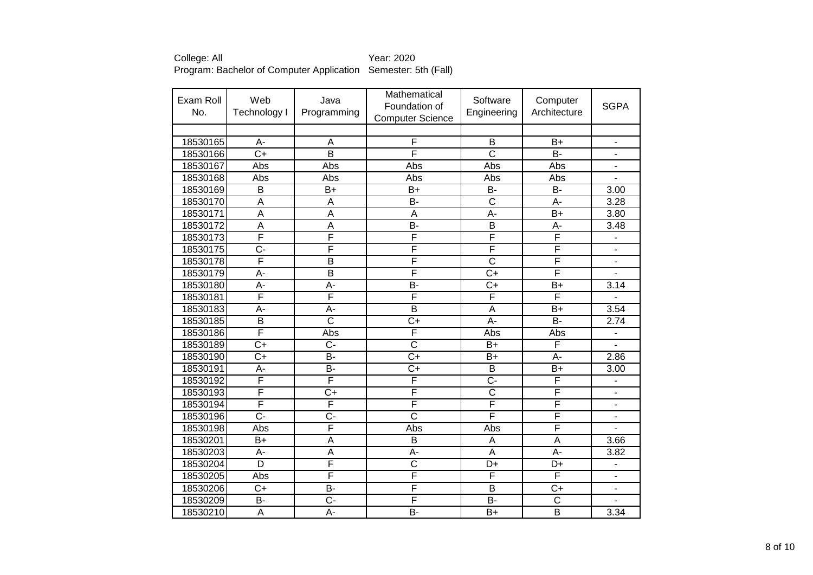| Exam Roll<br>No. | Web<br>Technology I     | Java<br>Programming     | Mathematical<br>Foundation of<br><b>Computer Science</b> | Software<br>Engineering | Computer<br>Architecture | <b>SGPA</b>              |
|------------------|-------------------------|-------------------------|----------------------------------------------------------|-------------------------|--------------------------|--------------------------|
|                  |                         |                         |                                                          |                         |                          |                          |
| 18530165         | A-                      | A                       | F                                                        | B                       | $B+$                     | $\blacksquare$           |
| 18530166         | $C+$                    | B                       | F                                                        | $\mathsf{C}$            | $B -$                    | $\blacksquare$           |
| 18530167         | Abs                     | Abs                     | Abs                                                      | Abs                     | Abs                      | $\overline{\phantom{a}}$ |
| 18530168         | Abs                     | Abs                     | Abs                                                      | Abs                     | Abs                      | $\blacksquare$           |
| 18530169         | $\overline{B}$          | $B+$                    | $B+$                                                     | $\overline{B}$          | B-                       | 3.00                     |
| 18530170         | A                       | A                       | <b>B-</b>                                                | $\overline{\text{c}}$   | $\overline{A}$ -         | 3.28                     |
| 18530171         | $\overline{\mathsf{A}}$ | $\overline{\mathsf{A}}$ | A                                                        | $\overline{A}$ -        | $\overline{B+}$          | 3.80                     |
| 18530172         | $\overline{\mathsf{A}}$ | $\overline{\mathsf{A}}$ | $\overline{B}$                                           | $\overline{\mathsf{B}}$ | A-                       | 3.48                     |
| 18530173         | F                       | F                       | F                                                        | F                       | F                        |                          |
| 18530175         | $\overline{C}$ -        | F                       | F                                                        | F                       | F                        | ä,                       |
| 18530178         | F                       | $\overline{\mathsf{B}}$ | F                                                        | $\overline{\text{c}}$   | F                        | ä,                       |
| 18530179         | $\overline{A}$          | $\overline{\mathsf{B}}$ | F                                                        | $\overline{C+}$         | F                        |                          |
| 18530180         | A-                      | A-                      | B-                                                       | $\overline{C}$          | $B+$                     | 3.14                     |
| 18530181         | F                       | F                       | F                                                        | F                       | F                        | $\overline{\phantom{a}}$ |
| 18530183         | A-                      | A-                      | $\overline{\mathsf{B}}$                                  | A                       | $B+$                     | 3.54                     |
| 18530185         | $\overline{B}$          | $\overline{\text{C}}$   | $C+$                                                     | A-                      | <b>B-</b>                | 2.74                     |
| 18530186         | F                       | Abs                     | F                                                        | Abs                     | Abs                      | $\overline{a}$           |
| 18530189         | $\overline{C+}$         | C-                      | $\overline{\text{c}}$                                    | $B+$                    | F                        | $\overline{a}$           |
| 18530190         | $\overline{C+}$         | $\overline{B}$          | $C+$                                                     | $B+$                    | A-                       | 2.86                     |
| 18530191         | A-                      | $\overline{B}$          | $C+$                                                     | $\overline{B}$          | $B+$                     | 3.00                     |
| 18530192         | F                       | F                       | F                                                        | $\overline{C}$          | F                        |                          |
| 18530193         | $\overline{\mathsf{F}}$ | $\overline{C+}$         | F                                                        | $\overline{\text{c}}$   | F                        |                          |
| 18530194         | $\overline{\mathsf{F}}$ | F                       | F                                                        | F                       | F                        |                          |
| 18530196         | $\overline{C}$ -        | $\overline{C}$ -        | $\overline{\text{c}}$                                    | F                       | F                        | ä,                       |
| 18530198         | Abs                     | F                       | Abs                                                      | Abs                     | F                        |                          |
| 18530201         | $B+$                    | A                       | B                                                        | A                       | A                        | 3.66                     |
| 18530203         | А-                      | Α                       | А-                                                       | A                       | А-                       | 3.82                     |
| 18530204         | $\overline{D}$          | F                       | $\overline{\text{c}}$                                    | D+                      | D+                       | $\overline{a}$           |
| 18530205         | Abs                     | F                       | F                                                        | F                       | F                        | $\blacksquare$           |
| 18530206         | $C+$                    | <b>B-</b>               | F                                                        | B                       | $C+$                     | ÷,                       |
| 18530209         | $\overline{B}$          | $\overline{C}$          | F                                                        | $\overline{B}$          | $\overline{\text{c}}$    |                          |
| 18530210         | A                       | A-                      | B-                                                       | $B+$                    | $\overline{\mathsf{B}}$  | 3.34                     |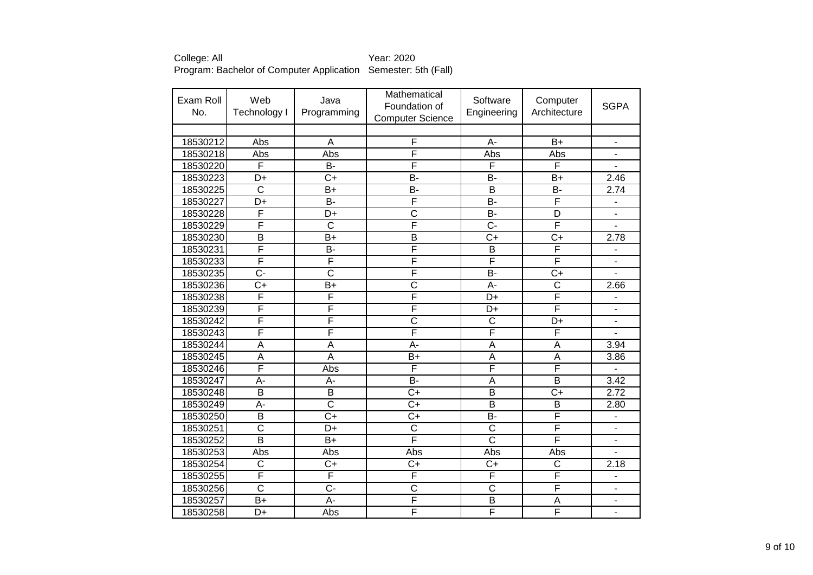| Exam Roll<br>No. | Web<br>Technology I       | Java<br>Programming     | Mathematical<br>Foundation of<br><b>Computer Science</b> | Software<br>Engineering | Computer<br>Architecture | <b>SGPA</b>                  |
|------------------|---------------------------|-------------------------|----------------------------------------------------------|-------------------------|--------------------------|------------------------------|
|                  |                           |                         |                                                          |                         |                          |                              |
| 18530212         | Abs                       | A                       | F                                                        | A-                      | $B+$                     | $\overline{\phantom{a}}$     |
| 18530218         | Abs                       | Abs                     | F                                                        | Abs                     | Abs                      | $\overline{a}$               |
| 18530220         | F                         | B-                      | F                                                        | F                       | F                        | $\overline{\phantom{a}}$     |
| 18530223         | D+                        | $\overline{C}$          | B-                                                       | B-                      | $B+$                     | 2.46                         |
| 18530225         | $\overline{\text{c}}$     | $\overline{B}$          | B-                                                       | $\overline{B}$          | B-                       | 2.74                         |
| 18530227         | $\overline{\mathsf{D}^+}$ | $\overline{B}$          | F                                                        | $B -$                   | F                        | $\blacksquare$               |
| 18530228         | F                         | D+                      | $\overline{\text{c}}$                                    | $\overline{B}$          | $\overline{D}$           | ÷,                           |
| 18530229         | F                         | $\overline{\text{c}}$   | F                                                        | $\overline{C}$ -        | F                        |                              |
| 18530230         | $\overline{B}$            | $B+$                    | B                                                        | $\overline{C}$          | $\overline{C+}$          | 2.78                         |
| 18530231         | F                         | $\overline{B}$          | F                                                        | $\overline{B}$          | F                        |                              |
| 18530233         | F                         | F                       | F                                                        | F                       | F                        |                              |
| 18530235         | $\overline{C}$ -          | $\overline{\text{c}}$   | F                                                        | $\overline{B}$          | $\overline{C+}$          |                              |
| 18530236         | $\overline{C+}$           | $\overline{B+}$         | $\overline{\text{c}}$                                    | $\overline{A}$ -        | $\overline{\text{c}}$    | 2.66                         |
| 18530238         | F                         | F                       | F                                                        | $\overline{D+}$         | F                        | $\overline{\phantom{0}}$     |
| 18530239         | F                         | F                       | F                                                        | $\overline{D+}$         | F                        | $\blacksquare$               |
| 18530242         | F                         | F                       | $\overline{\text{c}}$                                    | $\overline{\text{c}}$   | $\overline{D+}$          | $\overline{\phantom{a}}$     |
| 18530243         | F                         | F                       | F                                                        | F                       | F                        | $\blacksquare$               |
| 18530244         | A                         | A                       | A-                                                       | $\overline{A}$          | A                        | 3.94                         |
| 18530245         | $\overline{\mathsf{A}}$   | $\overline{\mathsf{A}}$ | $\bar{B}$ +                                              | $\overline{A}$          | $\overline{A}$           | 3.86                         |
| 18530246         | F                         | Abs                     | F                                                        | F                       | F                        |                              |
| 18530247         | A-                        | A-                      | <b>B-</b>                                                | A                       | $\overline{\mathsf{B}}$  | 3.42                         |
| 18530248         | $\overline{B}$            | $\overline{\mathsf{B}}$ | $\overline{C}$                                           | $\overline{B}$          | $\overline{C+}$          | 2.72                         |
| 18530249         | A-                        | $\overline{\text{c}}$   | $\overline{C+}$                                          | $\overline{B}$          | $\overline{B}$           | 2.80                         |
| 18530250         | $\overline{B}$            | $\overline{C}$          | $\overline{C}$ +                                         | $B -$                   | $\overline{\mathsf{F}}$  | $\blacksquare$               |
| 18530251         | $\overline{\text{c}}$     | D+                      | $\overline{\text{c}}$                                    | $\overline{\text{c}}$   | F                        | $\overline{\phantom{a}}$     |
| 18530252         | $\overline{\mathsf{B}}$   | $B+$                    | F                                                        | $\overline{\text{c}}$   | $\overline{\mathsf{F}}$  | $\qquad \qquad \blacksquare$ |
| 18530253         | Abs                       | Abs                     | Abs                                                      | Abs                     | Abs                      | $\blacksquare$               |
| 18530254         | $\overline{\text{c}}$     | $C+$                    | $C+$                                                     | $C+$                    | $\overline{\text{c}}$    | 2.18                         |
| 18530255         | F                         | F                       | F                                                        | F                       | F                        | $\blacksquare$               |
| 18530256         | $\overline{\text{c}}$     | $\overline{C}$          | C                                                        | $\overline{\text{c}}$   | F                        | $\blacksquare$               |
| 18530257         | $B+$                      | $\overline{A}$ -        | F                                                        | $\overline{B}$          | A                        | $\qquad \qquad \blacksquare$ |
| 18530258         | D+                        | Abs                     | F                                                        | F                       | F                        |                              |